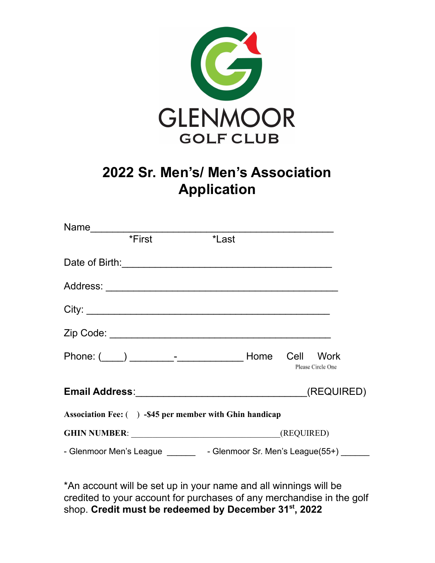

## **2022 Sr. Men's/ Men's Association Application**

| Name                                                                     |        |       |  |                   |  |  |
|--------------------------------------------------------------------------|--------|-------|--|-------------------|--|--|
|                                                                          | *First | *Last |  |                   |  |  |
| Date of Birth: Date of Birth:                                            |        |       |  |                   |  |  |
|                                                                          |        |       |  |                   |  |  |
| City:                                                                    |        |       |  |                   |  |  |
|                                                                          |        |       |  |                   |  |  |
|                                                                          |        |       |  | Please Circle One |  |  |
|                                                                          |        |       |  |                   |  |  |
| Association Fee: () -\$45 per member with Ghin handicap                  |        |       |  |                   |  |  |
|                                                                          |        |       |  |                   |  |  |
| - Glenmoor Men's League ________ - Glenmoor Sr. Men's League(55+) ______ |        |       |  |                   |  |  |

\*An account will be set up in your name and all winnings will be credited to your account for purchases of any merchandise in the golf shop. **Credit must be redeemed by December 31 st , 2022**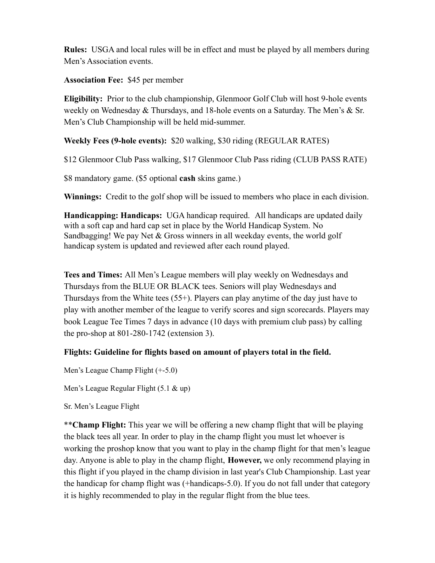**Rules:** USGA and local rules will be in effect and must be played by all members during Men's Association events.

**Association Fee:** \$45 per member

**Eligibility:** Prior to the club championship, Glenmoor Golf Club will host 9-hole events weekly on Wednesday  $&$  Thursdays, and 18-hole events on a Saturday. The Men's  $&$  Sr. Men's Club Championship will be held mid-summer.

**Weekly Fees (9-hole events):** \$20 walking, \$30 riding (REGULAR RATES)

\$12 Glenmoor Club Pass walking, \$17 Glenmoor Club Pass riding (CLUB PASS RATE)

\$8 mandatory game. (\$5 optional **cash** skins game.)

**Winnings:** Credit to the golf shop will be issued to members who place in each division.

**Handicapping: Handicaps:** UGA handicap required. All handicaps are updated daily with a soft cap and hard cap set in place by the World Handicap System. No Sandbagging! We pay Net  $&$  Gross winners in all weekday events, the world golf handicap system is updated and reviewed after each round played.

**Tees and Times:** All Men's League members will play weekly on Wednesdays and Thursdays from the BLUE OR BLACK tees. Seniors will play Wednesdays and Thursdays from the White tees (55+). Players can play anytime of the day just have to play with another member of the league to verify scores and sign scorecards. Players may book League Tee Times 7 days in advance (10 days with premium club pass) by calling the pro-shop at 801-280-1742 (extension 3).

## **Flights: Guideline for flights based on amount of players total in the field.**

Men's League Champ Flight (+-5.0)

Men's League Regular Flight (5.1 & up)

Sr. Men's League Flight

\*\***Champ Flight:** This year we will be offering a new champ flight that will be playing the black tees all year. In order to play in the champ flight you must let whoever is working the proshop know that you want to play in the champ flight for that men's league day. Anyone is able to play in the champ flight, **However,** we only recommend playing in this flight if you played in the champ division in last year's Club Championship. Last year the handicap for champ flight was (+handicaps-5.0). If you do not fall under that category it is highly recommended to play in the regular flight from the blue tees.